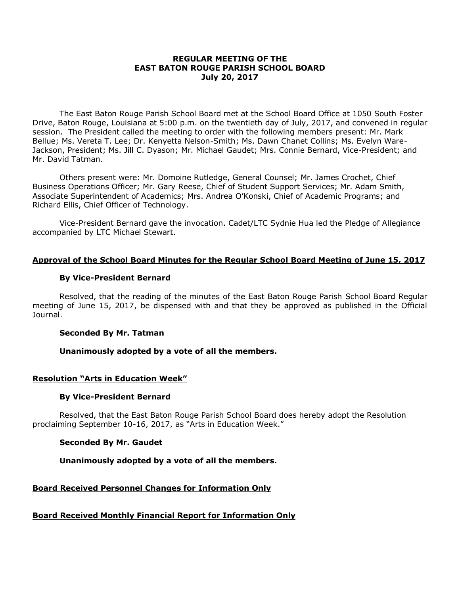## **REGULAR MEETING OF THE EAST BATON ROUGE PARISH SCHOOL BOARD July 20, 2017**

The East Baton Rouge Parish School Board met at the School Board Office at 1050 South Foster Drive, Baton Rouge, Louisiana at 5:00 p.m. on the twentieth day of July, 2017, and convened in regular session. The President called the meeting to order with the following members present: Mr. Mark Bellue; Ms. Vereta T. Lee; Dr. Kenyetta Nelson-Smith; Ms. Dawn Chanet Collins; Ms. Evelyn Ware-Jackson, President; Ms. Jill C. Dyason; Mr. Michael Gaudet; Mrs. Connie Bernard, Vice-President; and Mr. David Tatman.

Others present were: Mr. Domoine Rutledge, General Counsel; Mr. James Crochet, Chief Business Operations Officer; Mr. Gary Reese, Chief of Student Support Services; Mr. Adam Smith, Associate Superintendent of Academics; Mrs. Andrea O'Konski, Chief of Academic Programs; and Richard Ellis, Chief Officer of Technology.

Vice-President Bernard gave the invocation. Cadet/LTC Sydnie Hua led the Pledge of Allegiance accompanied by LTC Michael Stewart.

#### **Approval of the School Board Minutes for the Regular School Board Meeting of June 15, 2017**

#### **By Vice-President Bernard**

Resolved, that the reading of the minutes of the East Baton Rouge Parish School Board Regular meeting of June 15, 2017, be dispensed with and that they be approved as published in the Official Journal.

#### **Seconded By Mr. Tatman**

#### **Unanimously adopted by a vote of all the members.**

#### **Resolution "Arts in Education Week"**

#### **By Vice-President Bernard**

Resolved, that the East Baton Rouge Parish School Board does hereby adopt the Resolution proclaiming September 10-16, 2017, as "Arts in Education Week."

#### **Seconded By Mr. Gaudet**

## **Unanimously adopted by a vote of all the members.**

## **Board Received Personnel Changes for Information Only**

## **Board Received Monthly Financial Report for Information Only**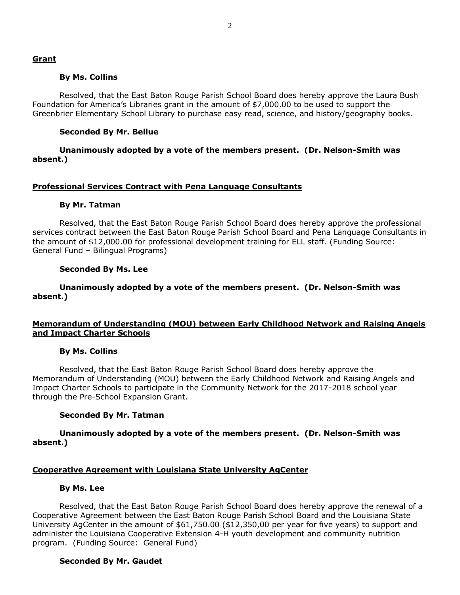#### **By Ms. Collins**

Resolved, that the East Baton Rouge Parish School Board does hereby approve the Laura Bush Foundation for America's Libraries grant in the amount of \$7,000.00 to be used to support the Greenbrier Elementary School Library to purchase easy read, science, and history/geography books.

## **Seconded By Mr. Bellue**

**Unanimously adopted by a vote of the members present. (Dr. Nelson-Smith was absent.)**

#### **Professional Services Contract with Pena Language Consultants**

#### **By Mr. Tatman**

Resolved, that the East Baton Rouge Parish School Board does hereby approve the professional services contract between the East Baton Rouge Parish School Board and Pena Language Consultants in the amount of \$12,000.00 for professional development training for ELL staff. (Funding Source: General Fund – Bilingual Programs)

#### **Seconded By Ms. Lee**

#### **Unanimously adopted by a vote of the members present. (Dr. Nelson-Smith was absent.)**

#### **Memorandum of Understanding (MOU) between Early Childhood Network and Raising Angels and Impact Charter Schools**

#### **By Ms. Collins**

Resolved, that the East Baton Rouge Parish School Board does hereby approve the Memorandum of Understanding (MOU) between the Early Childhood Network and Raising Angels and Impact Charter Schools to participate in the Community Network for the 2017-2018 school year through the Pre-School Expansion Grant.

#### **Seconded By Mr. Tatman**

**Unanimously adopted by a vote of the members present. (Dr. Nelson-Smith was absent.)**

#### **Cooperative Agreement with Louisiana State University AgCenter**

#### **By Ms. Lee**

Resolved, that the East Baton Rouge Parish School Board does hereby approve the renewal of a Cooperative Agreement between the East Baton Rouge Parish School Board and the Louisiana State University AgCenter in the amount of \$61,750.00 (\$12,350,00 per year for five years) to support and administer the Louisiana Cooperative Extension 4-H youth development and community nutrition program. (Funding Source: General Fund)

#### **Seconded By Mr. Gaudet**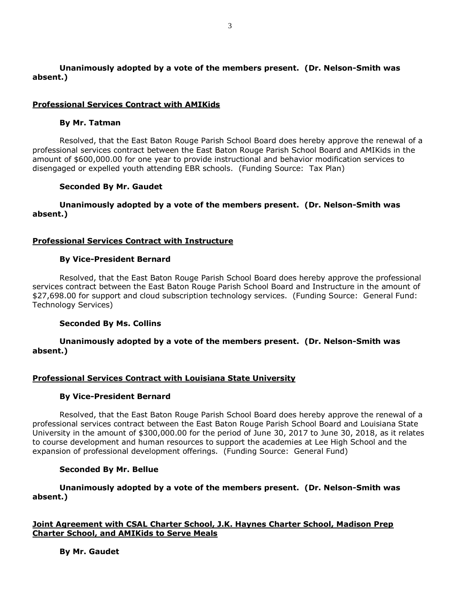# **Unanimously adopted by a vote of the members present. (Dr. Nelson-Smith was absent.)**

## **Professional Services Contract with AMIKids**

#### **By Mr. Tatman**

Resolved, that the East Baton Rouge Parish School Board does hereby approve the renewal of a professional services contract between the East Baton Rouge Parish School Board and AMIKids in the amount of \$600,000.00 for one year to provide instructional and behavior modification services to disengaged or expelled youth attending EBR schools. (Funding Source: Tax Plan)

#### **Seconded By Mr. Gaudet**

## **Unanimously adopted by a vote of the members present. (Dr. Nelson-Smith was absent.)**

#### **Professional Services Contract with Instructure**

#### **By Vice-President Bernard**

Resolved, that the East Baton Rouge Parish School Board does hereby approve the professional services contract between the East Baton Rouge Parish School Board and Instructure in the amount of \$27,698.00 for support and cloud subscription technology services. (Funding Source: General Fund: Technology Services)

#### **Seconded By Ms. Collins**

## **Unanimously adopted by a vote of the members present. (Dr. Nelson-Smith was absent.)**

## **Professional Services Contract with Louisiana State University**

#### **By Vice-President Bernard**

Resolved, that the East Baton Rouge Parish School Board does hereby approve the renewal of a professional services contract between the East Baton Rouge Parish School Board and Louisiana State University in the amount of \$300,000.00 for the period of June 30, 2017 to June 30, 2018, as it relates to course development and human resources to support the academies at Lee High School and the expansion of professional development offerings. (Funding Source: General Fund)

#### **Seconded By Mr. Bellue**

## **Unanimously adopted by a vote of the members present. (Dr. Nelson-Smith was absent.)**

## **Joint Agreement with CSAL Charter School, J.K. Haynes Charter School, Madison Prep Charter School, and AMIKids to Serve Meals**

**By Mr. Gaudet**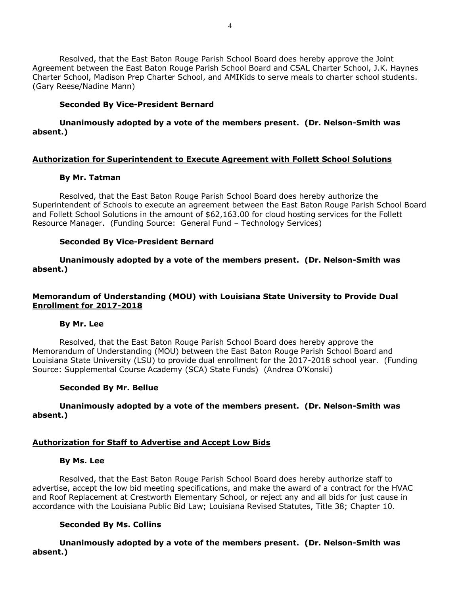Resolved, that the East Baton Rouge Parish School Board does hereby approve the Joint Agreement between the East Baton Rouge Parish School Board and CSAL Charter School, J.K. Haynes Charter School, Madison Prep Charter School, and AMIKids to serve meals to charter school students. (Gary Reese/Nadine Mann)

## **Seconded By Vice-President Bernard**

# **Unanimously adopted by a vote of the members present. (Dr. Nelson-Smith was absent.)**

# **Authorization for Superintendent to Execute Agreement with Follett School Solutions**

## **By Mr. Tatman**

Resolved, that the East Baton Rouge Parish School Board does hereby authorize the Superintendent of Schools to execute an agreement between the East Baton Rouge Parish School Board and Follett School Solutions in the amount of \$62,163.00 for cloud hosting services for the Follett Resource Manager. (Funding Source: General Fund – Technology Services)

# **Seconded By Vice-President Bernard**

**Unanimously adopted by a vote of the members present. (Dr. Nelson-Smith was absent.)**

## **Memorandum of Understanding (MOU) with Louisiana State University to Provide Dual Enrollment for 2017-2018**

## **By Mr. Lee**

Resolved, that the East Baton Rouge Parish School Board does hereby approve the Memorandum of Understanding (MOU) between the East Baton Rouge Parish School Board and Louisiana State University (LSU) to provide dual enrollment for the 2017-2018 school year. (Funding Source: Supplemental Course Academy (SCA) State Funds) (Andrea O'Konski)

## **Seconded By Mr. Bellue**

# **Unanimously adopted by a vote of the members present. (Dr. Nelson-Smith was absent.)**

# **Authorization for Staff to Advertise and Accept Low Bids**

## **By Ms. Lee**

Resolved, that the East Baton Rouge Parish School Board does hereby authorize staff to advertise, accept the low bid meeting specifications, and make the award of a contract for the HVAC and Roof Replacement at Crestworth Elementary School, or reject any and all bids for just cause in accordance with the Louisiana Public Bid Law; Louisiana Revised Statutes, Title 38; Chapter 10.

## **Seconded By Ms. Collins**

**Unanimously adopted by a vote of the members present. (Dr. Nelson-Smith was absent.)**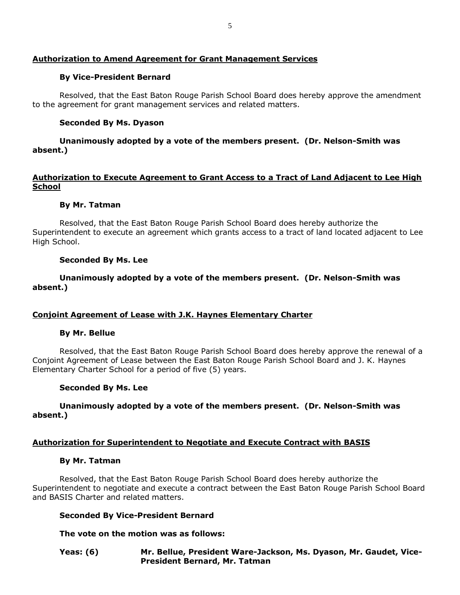# **Authorization to Amend Agreement for Grant Management Services**

## **By Vice-President Bernard**

Resolved, that the East Baton Rouge Parish School Board does hereby approve the amendment to the agreement for grant management services and related matters.

# **Seconded By Ms. Dyason**

# **Unanimously adopted by a vote of the members present. (Dr. Nelson-Smith was absent.)**

# **Authorization to Execute Agreement to Grant Access to a Tract of Land Adjacent to Lee High School**

## **By Mr. Tatman**

Resolved, that the East Baton Rouge Parish School Board does hereby authorize the Superintendent to execute an agreement which grants access to a tract of land located adjacent to Lee High School.

## **Seconded By Ms. Lee**

# **Unanimously adopted by a vote of the members present. (Dr. Nelson-Smith was absent.)**

# **Conjoint Agreement of Lease with J.K. Haynes Elementary Charter**

## **By Mr. Bellue**

Resolved, that the East Baton Rouge Parish School Board does hereby approve the renewal of a Conjoint Agreement of Lease between the East Baton Rouge Parish School Board and J. K. Haynes Elementary Charter School for a period of five (5) years.

## **Seconded By Ms. Lee**

# **Unanimously adopted by a vote of the members present. (Dr. Nelson-Smith was absent.)**

# **Authorization for Superintendent to Negotiate and Execute Contract with BASIS**

## **By Mr. Tatman**

Resolved, that the East Baton Rouge Parish School Board does hereby authorize the Superintendent to negotiate and execute a contract between the East Baton Rouge Parish School Board and BASIS Charter and related matters.

## **Seconded By Vice-President Bernard**

## **The vote on the motion was as follows:**

**Yeas: (6) Mr. Bellue, President Ware-Jackson, Ms. Dyason, Mr. Gaudet, Vice-President Bernard, Mr. Tatman**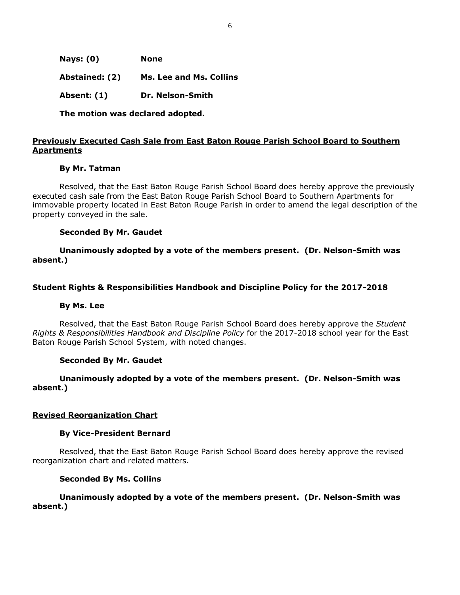| Nays: $(0)$    | <b>None</b>                    |
|----------------|--------------------------------|
| Abstained: (2) | <b>Ms. Lee and Ms. Collins</b> |
| Absent: (1)    | Dr. Nelson-Smith               |

**The motion was declared adopted.**

## **Previously Executed Cash Sale from East Baton Rouge Parish School Board to Southern Apartments**

#### **By Mr. Tatman**

Resolved, that the East Baton Rouge Parish School Board does hereby approve the previously executed cash sale from the East Baton Rouge Parish School Board to Southern Apartments for immovable property located in East Baton Rouge Parish in order to amend the legal description of the property conveyed in the sale.

#### **Seconded By Mr. Gaudet**

**Unanimously adopted by a vote of the members present. (Dr. Nelson-Smith was absent.)**

## **Student Rights & Responsibilities Handbook and Discipline Policy for the 2017-2018**

#### **By Ms. Lee**

Resolved, that the East Baton Rouge Parish School Board does hereby approve the *Student Rights & Responsibilities Handbook and Discipline Policy* for the 2017-2018 school year for the East Baton Rouge Parish School System, with noted changes.

#### **Seconded By Mr. Gaudet**

## **Unanimously adopted by a vote of the members present. (Dr. Nelson-Smith was absent.)**

#### **Revised Reorganization Chart**

#### **By Vice-President Bernard**

Resolved, that the East Baton Rouge Parish School Board does hereby approve the revised reorganization chart and related matters.

#### **Seconded By Ms. Collins**

## **Unanimously adopted by a vote of the members present. (Dr. Nelson-Smith was absent.)**